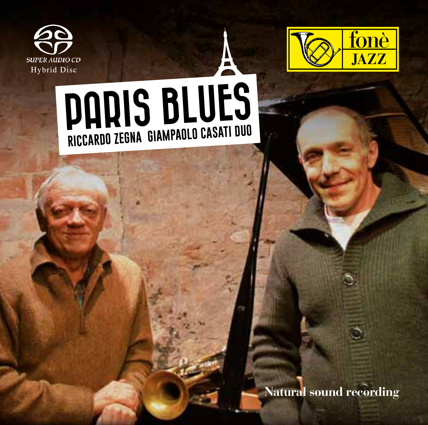



## PARIS BLUES **Riccardo Zegna Giampaolo Casati Duo**

**Natural sound recording**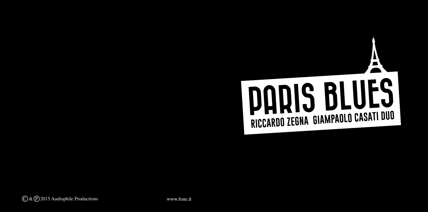## Ą PARIS BLUES **Riccardo Zegna Giampaolo Casati Duo**

 $\overline{(\bigcirc \& \bigcirc)}$  2015 Audiophile Productions

www.fone.it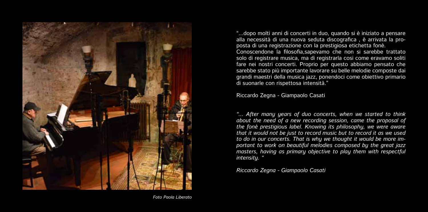

"...dopo molti anni di concerti in duo, quando si è iniziato a pensare alla necessità di una nuova seduta discografica , è arrivata la proposta di una registrazione con la prestigiosa etichetta fonè. Conoscendone la filosofia,sapevamo che non si sarebbe trattato solo di registrare musica, ma di registrarla cosi come eravamo soliti fare nei nostri concerti. Proprio per questo abbiamo pensato che sarebbe stato più importante lavorare su belle melodie composte dai grandi maestri della musica jazz, ponendoci come obiettivo primario di suonarle con rispettosa intensità."

Riccardo Zegna - Giampaolo Casati

*"... After many years of duo concerts, when we started to think about the need of a new recording session, came the proposal of the fonè prestigious label. Knowing its philosophy, we were aware that it would not be just to record music but to record it as we used to do in our concerts. That is why we thought it would be more important to work on beautiful melodies composed by the great jazz masters, having as primary objective to play them with respectful intensity. "*

*Riccardo Zegna - Giampaolo Casati*

*Foto Paola Liberato*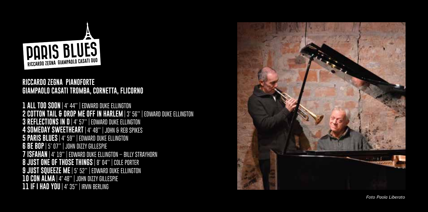

## **Ricca rdo Zegna pianofo rte Giampaolo Casati t romba, co rnetta, flico rno**

**1 ALL TOO SOON | 4' 44" | Edward Duk e Ellington 2 COTTON TAIL & DRUP ME OFF IN HARLEM** | 3' 56'' | EDWARD DUKE ELLINGTON **3 Reflections IN D | 4' 57" | Edward Duk e Ellington 4 SOMEDAY S WEET HEA R T | 4' 48" | John & Reb Spikes 5 PA RIS BLUES | 4' 59" | Edward Duk e Ellington 6 BE BOP | 5' 07" | John Dizzy Gillespi e 7 ISFA HAN | 4' 19" | Edward Duk e Ellington – Billy Strayhorn 8 JUST ONE OF T HOSE T HINGS | 8' 04" | Col Port r e e 9 JUST S QUEE Z E ME | 5' 52" | Edward Duk e Ellington 10 CON ALMA | 4' 48" | John Dizzy Gillespi e 11 IF I HAD YOU | 4' 35" | Irvin Berling**